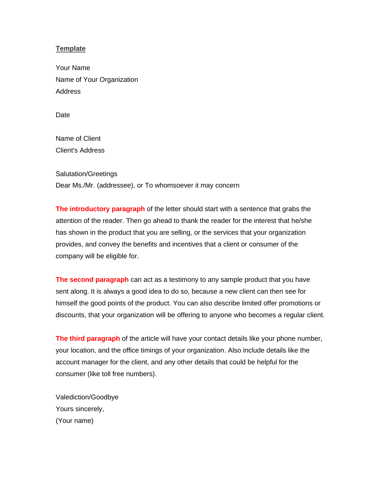## **Template**

Your Name Name of Your Organization Address

**Date** 

Name of Client Client's Address

Salutation/Greetings Dear Ms./Mr. (addressee), or To whomsoever it may concern

**The introductory paragraph** of the letter should start with a sentence that grabs the attention of the reader. Then go ahead to thank the reader for the interest that he/she has shown in the product that you are selling, or the services that your organization provides, and convey the benefits and incentives that a client or consumer of the company will be eligible for.

**The second paragraph** can act as a testimony to any sample product that you have sent along. It is always a good idea to do so, because a new client can then see for himself the good points of the product. You can also describe limited offer promotions or discounts, that your organization will be offering to anyone who becomes a regular client.

**The third paragraph** of the article will have your contact details like your phone number, your location, and the office timings of your organization. Also include details like the account manager for the client, and any other details that could be helpful for the consumer (like toll free numbers).

Valediction/Goodbye Yours sincerely, (Your name)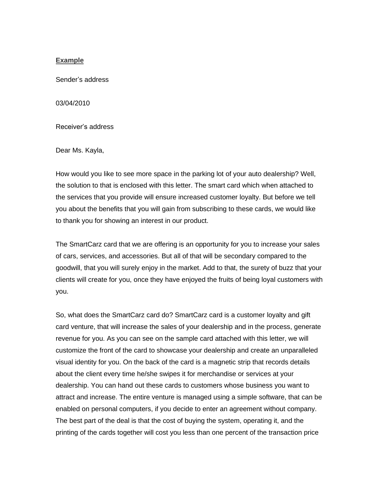## **Example**

Sender's address

03/04/2010

Receiver's address

Dear Ms. Kayla,

How would you like to see more space in the parking lot of your auto dealership? Well, the solution to that is enclosed with this letter. The smart card which when attached to the services that you provide will ensure increased customer loyalty. But before we tell you about the benefits that you will gain from subscribing to these cards, we would like to thank you for showing an interest in our product.

The SmartCarz card that we are offering is an opportunity for you to increase your sales of cars, services, and accessories. But all of that will be secondary compared to the goodwill, that you will surely enjoy in the market. Add to that, the surety of buzz that your clients will create for you, once they have enjoyed the fruits of being loyal customers with you.

So, what does the SmartCarz card do? SmartCarz card is a customer loyalty and gift card venture, that will increase the sales of your dealership and in the process, generate revenue for you. As you can see on the sample card attached with this letter, we will customize the front of the card to showcase your dealership and create an unparalleled visual identity for you. On the back of the card is a magnetic strip that records details about the client every time he/she swipes it for merchandise or services at your dealership. You can hand out these cards to customers whose business you want to attract and increase. The entire venture is managed using a simple software, that can be enabled on personal computers, if you decide to enter an agreement without company. The best part of the deal is that the cost of buying the system, operating it, and the printing of the cards together will cost you less than one percent of the transaction price